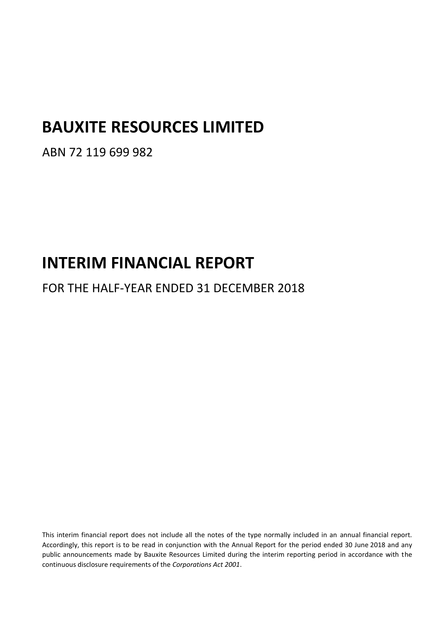# **BAUXITE RESOURCES LIMITED**

ABN 72 119 699 982

# **INTERIM FINANCIAL REPORT**

FOR THE HALF-YEAR ENDED 31 DECEMBER 2018

This interim financial report does not include all the notes of the type normally included in an annual financial report. Accordingly, this report is to be read in conjunction with the Annual Report for the period ended 30 June 2018 and any public announcements made by Bauxite Resources Limited during the interim reporting period in accordance with the continuous disclosure requirements of the *Corporations Act 2001*.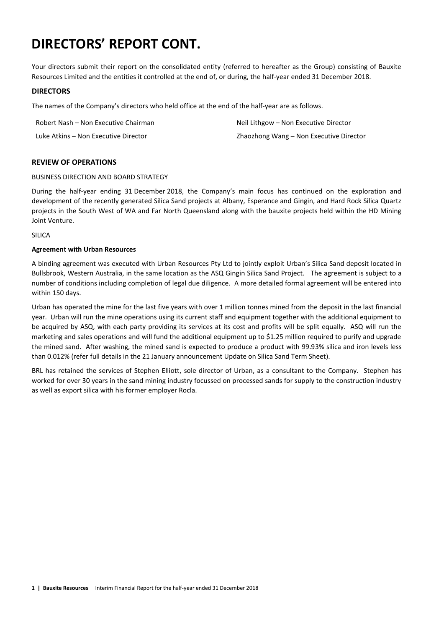# **DIRECTORS' REPORT CONT.**

Your directors submit their report on the consolidated entity (referred to hereafter as the Group) consisting of Bauxite Resources Limited and the entities it controlled at the end of, or during, the half-year ended 31 December 2018.

#### **DIRECTORS**

The names of the Company's directors who held office at the end of the half-year are as follows.

| Robert Nash – Non Executive Chairman | Neil Lithgow – Non Executive Director   |
|--------------------------------------|-----------------------------------------|
| Luke Atkins - Non Executive Director | Zhaozhong Wang – Non Executive Director |

### **REVIEW OF OPERATIONS**

#### BUSINESS DIRECTION AND BOARD STRATEGY

During the half-year ending 31 December 2018, the Company's main focus has continued on the exploration and development of the recently generated Silica Sand projects at Albany, Esperance and Gingin, and Hard Rock Silica Quartz projects in the South West of WA and Far North Queensland along with the bauxite projects held within the HD Mining Joint Venture.

#### SILICA

#### **Agreement with Urban Resources**

A binding agreement was executed with Urban Resources Pty Ltd to jointly exploit Urban's Silica Sand deposit located in Bullsbrook, Western Australia, in the same location as the ASQ Gingin Silica Sand Project. The agreement is subject to a number of conditions including completion of legal due diligence. A more detailed formal agreement will be entered into within 150 days.

Urban has operated the mine for the last five years with over 1 million tonnes mined from the deposit in the last financial year. Urban will run the mine operations using its current staff and equipment together with the additional equipment to be acquired by ASQ, with each party providing its services at its cost and profits will be split equally. ASQ will run the marketing and sales operations and will fund the additional equipment up to \$1.25 million required to purify and upgrade the mined sand. After washing, the mined sand is expected to produce a product with 99.93% silica and iron levels less than 0.012% (refer full details in the 21 January announcement Update on Silica Sand Term Sheet).

BRL has retained the services of Stephen Elliott, sole director of Urban, as a consultant to the Company. Stephen has worked for over 30 years in the sand mining industry focussed on processed sands for supply to the construction industry as well as export silica with his former employer Rocla.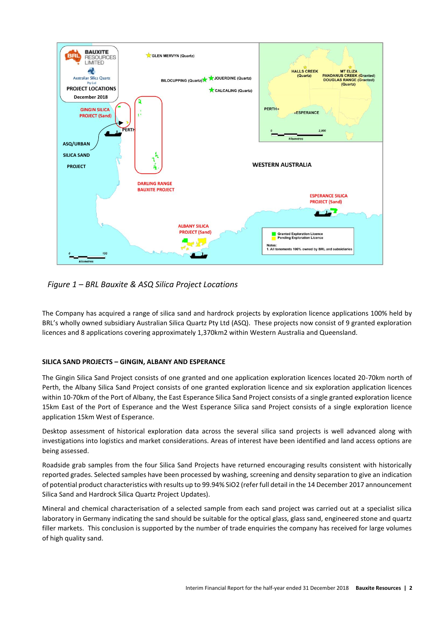

*Figure 1 – BRL Bauxite & ASQ Silica Project Locations*

The Company has acquired a range of silica sand and hardrock projects by exploration licence applications 100% held by BRL's wholly owned subsidiary Australian Silica Quartz Pty Ltd (ASQ). These projects now consist of 9 granted exploration licences and 8 applications covering approximately 1,370km2 within Western Australia and Queensland.

### **SILICA SAND PROJECTS – GINGIN, ALBANY AND ESPERANCE**

The Gingin Silica Sand Project consists of one granted and one application exploration licences located 20-70km north of Perth, the Albany Silica Sand Project consists of one granted exploration licence and six exploration application licences within 10-70km of the Port of Albany, the East Esperance Silica Sand Project consists of a single granted exploration licence 15km East of the Port of Esperance and the West Esperance Silica sand Project consists of a single exploration licence application 15km West of Esperance.

Desktop assessment of historical exploration data across the several silica sand projects is well advanced along with investigations into logistics and market considerations. Areas of interest have been identified and land access options are being assessed.

Roadside grab samples from the four Silica Sand Projects have returned encouraging results consistent with historically reported grades. Selected samples have been processed by washing, screening and density separation to give an indication of potential product characteristics with results up to 99.94% SiO2 (refer full detail in the 14 December 2017 announcement Silica Sand and Hardrock Silica Quartz Project Updates).

Mineral and chemical characterisation of a selected sample from each sand project was carried out at a specialist silica laboratory in Germany indicating the sand should be suitable for the optical glass, glass sand, engineered stone and quartz filler markets. This conclusion is supported by the number of trade enquiries the company has received for large volumes of high quality sand.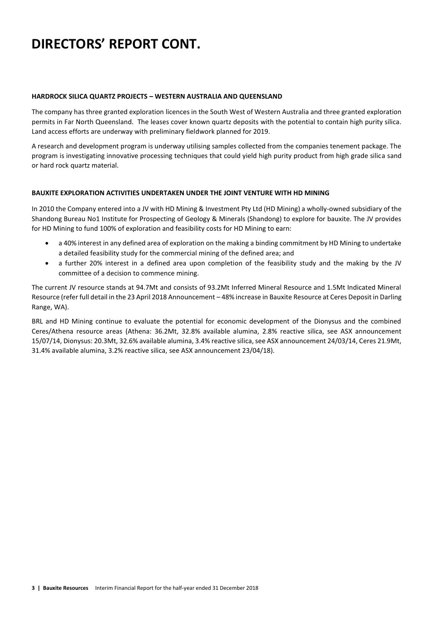# **DIRECTORS' REPORT CONT.**

#### **HARDROCK SILICA QUARTZ PROJECTS – WESTERN AUSTRALIA AND QUEENSLAND**

The company has three granted exploration licences in the South West of Western Australia and three granted exploration permits in Far North Queensland. The leases cover known quartz deposits with the potential to contain high purity silica. Land access efforts are underway with preliminary fieldwork planned for 2019.

A research and development program is underway utilising samples collected from the companies tenement package. The program is investigating innovative processing techniques that could yield high purity product from high grade silica sand or hard rock quartz material.

#### **BAUXITE EXPLORATION ACTIVITIES UNDERTAKEN UNDER THE JOINT VENTURE WITH HD MINING**

In 2010 the Company entered into a JV with HD Mining & Investment Pty Ltd (HD Mining) a wholly-owned subsidiary of the Shandong Bureau No1 Institute for Prospecting of Geology & Minerals (Shandong) to explore for bauxite. The JV provides for HD Mining to fund 100% of exploration and feasibility costs for HD Mining to earn:

- a 40% interest in any defined area of exploration on the making a binding commitment by HD Mining to undertake a detailed feasibility study for the commercial mining of the defined area; and
- a further 20% interest in a defined area upon completion of the feasibility study and the making by the JV committee of a decision to commence mining.

The current JV resource stands at 94.7Mt and consists of 93.2Mt Inferred Mineral Resource and 1.5Mt Indicated Mineral Resource (refer full detail in the 23 April 2018 Announcement – 48% increase in Bauxite Resource at Ceres Deposit in Darling Range, WA).

BRL and HD Mining continue to evaluate the potential for economic development of the Dionysus and the combined Ceres/Athena resource areas (Athena: 36.2Mt, 32.8% available alumina, 2.8% reactive silica, see ASX announcement 15/07/14, Dionysus: 20.3Mt, 32.6% available alumina, 3.4% reactive silica, see ASX announcement 24/03/14, Ceres 21.9Mt, 31.4% available alumina, 3.2% reactive silica, see ASX announcement 23/04/18).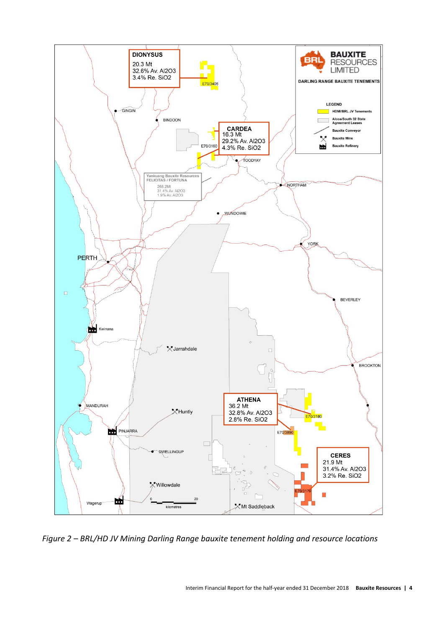

*Figure 2 – BRL/HD JV Mining Darling Range bauxite tenement holding and resource locations*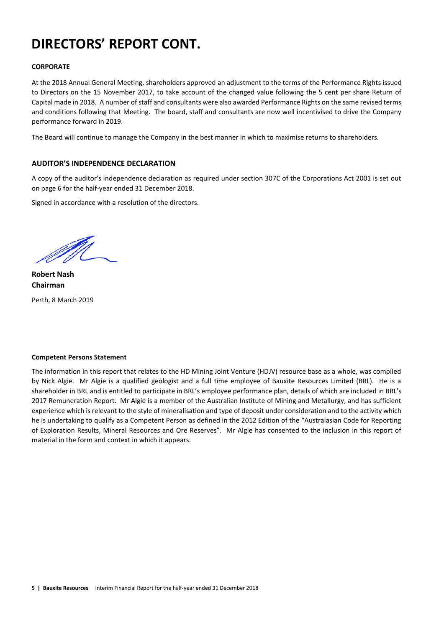# **DIRECTORS' REPORT CONT.**

### **CORPORATE**

At the 2018 Annual General Meeting, shareholders approved an adjustment to the terms of the Performance Rights issued to Directors on the 15 November 2017, to take account of the changed value following the 5 cent per share Return of Capital made in 2018. A number of staff and consultants were also awarded Performance Rights on the same revised terms and conditions following that Meeting. The board, staff and consultants are now well incentivised to drive the Company performance forward in 2019.

The Board will continue to manage the Company in the best manner in which to maximise returns to shareholders.

#### **AUDITOR'S INDEPENDENCE DECLARATION**

A copy of the auditor's independence declaration as required under section 307C of the Corporations Act 2001 is set out on page 6 for the half-year ended 31 December 2018.

Signed in accordance with a resolution of the directors.

**Robert Nash Chairman**

Perth, 8 March 2019

#### **Competent Persons Statement**

The information in this report that relates to the HD Mining Joint Venture (HDJV) resource base as a whole, was compiled by Nick Algie. Mr Algie is a qualified geologist and a full time employee of Bauxite Resources Limited (BRL). He is a shareholder in BRL and is entitled to participate in BRL's employee performance plan, details of which are included in BRL's 2017 Remuneration Report. Mr Algie is a member of the Australian Institute of Mining and Metallurgy, and has sufficient experience which is relevant to the style of mineralisation and type of deposit under consideration and to the activity which he is undertaking to qualify as a Competent Person as defined in the 2012 Edition of the "Australasian Code for Reporting of Exploration Results, Mineral Resources and Ore Reserves". Mr Algie has consented to the inclusion in this report of material in the form and context in which it appears.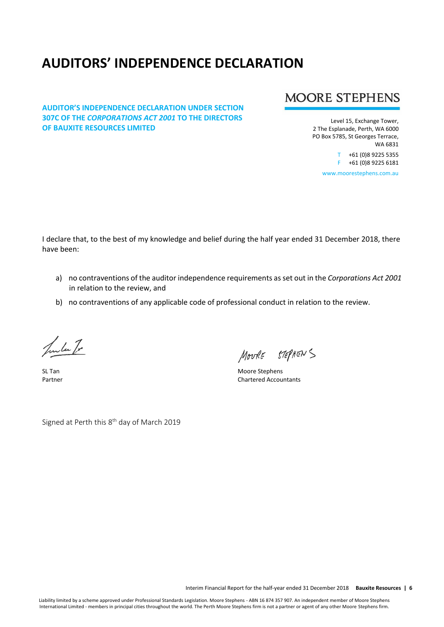# **AUDITORS' INDEPENDENCE DECLARATION**

### **AUDITOR'S INDEPENDENCE DECLARATION UNDER SECTION 307C OF THE** *CORPORATIONS ACT 2001* **TO THE DIRECTORS OF BAUXITE RESOURCES LIMITED**

# **MOORE STEPHENS**

Level 15, Exchange Tower, 2 The Esplanade, Perth, WA 6000 PO Box 5785, St Georges Terrace, WA 6831

> T +61 (0)8 9225 5355 F +61 (0)8 9225 6181

www.moorestephens.com.au

I declare that, to the best of my knowledge and belief during the half year ended 31 December 2018, there have been:

- a) no contraventions of the auditor independence requirements as set out in the *Corporations Act 2001*  in relation to the review, and
- b) no contraventions of any applicable code of professional conduct in relation to the review.

Jula Tr

MOURE STEPHENS

SL Tan Moore Stephens Partner Chartered Accountants

Signed at Perth this 8<sup>th</sup> day of March 2019

Interim Financial Report for the half-year ended 31 December 2018 **Bauxite Resources | 6**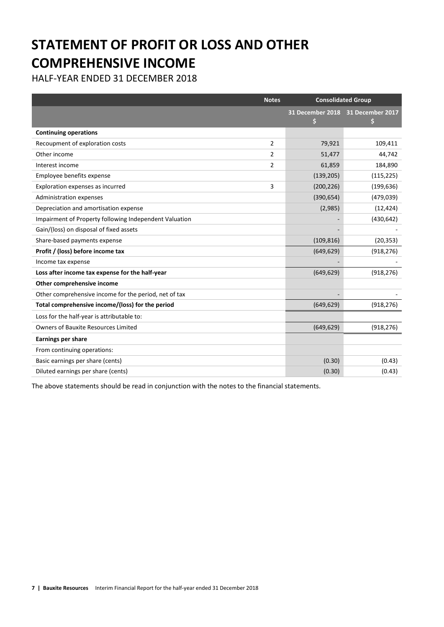# **STATEMENT OF PROFIT OR LOSS AND OTHER COMPREHENSIVE INCOME**

HALF-YEAR ENDED 31 DECEMBER 2018

|                                                        | <b>Notes</b> | <b>Consolidated Group</b> |                  |
|--------------------------------------------------------|--------------|---------------------------|------------------|
|                                                        |              | 31 December 2018<br>S     | 31 December 2017 |
| <b>Continuing operations</b>                           |              |                           |                  |
| Recoupment of exploration costs                        | 2            | 79,921                    | 109,411          |
| Other income                                           | 2            | 51,477                    | 44,742           |
| Interest income                                        | 2            | 61,859                    | 184,890          |
| Employee benefits expense                              |              | (139, 205)                | (115, 225)       |
| Exploration expenses as incurred                       | 3            | (200, 226)                | (199, 636)       |
| Administration expenses                                |              | (390, 654)                | (479, 039)       |
| Depreciation and amortisation expense                  |              | (2,985)                   | (12, 424)        |
| Impairment of Property following Independent Valuation |              |                           | (430, 642)       |
| Gain/(loss) on disposal of fixed assets                |              |                           |                  |
| Share-based payments expense                           |              | (109, 816)                | (20, 353)        |
| Profit / (loss) before income tax                      |              | (649, 629)                | (918, 276)       |
| Income tax expense                                     |              |                           |                  |
| Loss after income tax expense for the half-year        |              | (649, 629)                | (918, 276)       |
| Other comprehensive income                             |              |                           |                  |
| Other comprehensive income for the period, net of tax  |              |                           |                  |
| Total comprehensive income/(loss) for the period       |              | (649, 629)                | (918, 276)       |
| Loss for the half-year is attributable to:             |              |                           |                  |
| <b>Owners of Bauxite Resources Limited</b>             |              | (649, 629)                | (918, 276)       |
| <b>Earnings per share</b>                              |              |                           |                  |
| From continuing operations:                            |              |                           |                  |
| Basic earnings per share (cents)                       |              | (0.30)                    | (0.43)           |
| Diluted earnings per share (cents)                     |              | (0.30)                    | (0.43)           |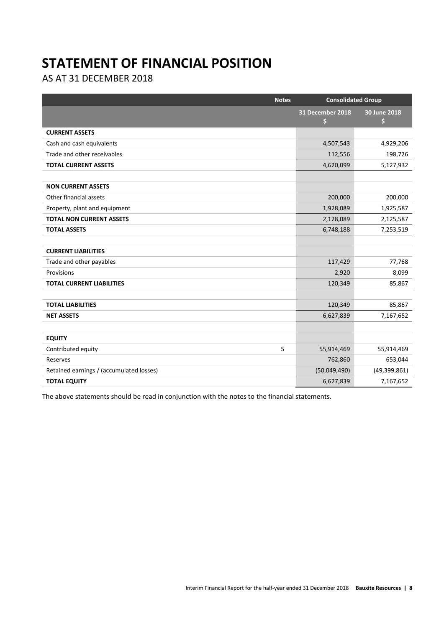# **STATEMENT OF FINANCIAL POSITION**

AS AT 31 DECEMBER 2018

| <b>Notes</b>                             | <b>Consolidated Group</b> |                    |
|------------------------------------------|---------------------------|--------------------|
|                                          | 31 December 2018<br>\$    | 30 June 2018<br>\$ |
| <b>CURRENT ASSETS</b>                    |                           |                    |
| Cash and cash equivalents                | 4,507,543                 | 4,929,206          |
| Trade and other receivables              | 112,556                   | 198,726            |
| <b>TOTAL CURRENT ASSETS</b>              | 4,620,099                 | 5,127,932          |
|                                          |                           |                    |
| <b>NON CURRENT ASSETS</b>                |                           |                    |
| Other financial assets                   | 200,000                   | 200,000            |
| Property, plant and equipment            | 1,928,089                 | 1,925,587          |
| <b>TOTAL NON CURRENT ASSETS</b>          | 2,128,089                 | 2,125,587          |
| <b>TOTAL ASSETS</b>                      | 6,748,188                 | 7,253,519          |
|                                          |                           |                    |
| <b>CURRENT LIABILITIES</b>               |                           |                    |
| Trade and other payables                 | 117,429                   | 77,768             |
| Provisions                               | 2,920                     | 8,099              |
| <b>TOTAL CURRENT LIABILITIES</b>         | 120,349                   | 85,867             |
|                                          |                           |                    |
| <b>TOTAL LIABILITIES</b>                 | 120,349                   | 85,867             |
| <b>NET ASSETS</b>                        | 6,627,839                 | 7,167,652          |
|                                          |                           |                    |
| <b>EQUITY</b>                            |                           |                    |
| 5<br>Contributed equity                  | 55,914,469                | 55,914,469         |
| Reserves                                 | 762,860                   | 653,044            |
| Retained earnings / (accumulated losses) | (50,049,490)              | (49,399,861)       |
| <b>TOTAL EQUITY</b>                      | 6,627,839                 | 7,167,652          |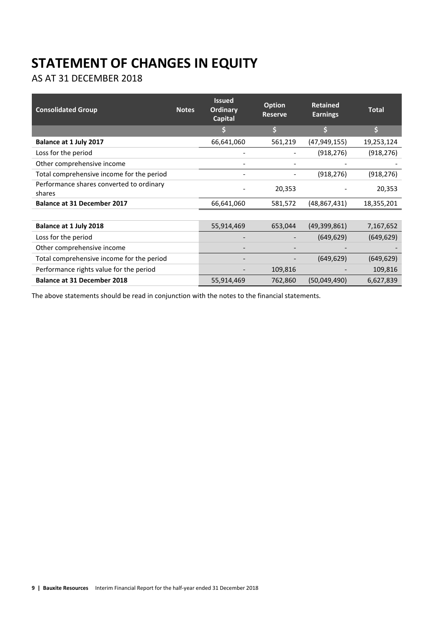# **STATEMENT OF CHANGES IN EQUITY**

AS AT 31 DECEMBER 2018

| <b>Consolidated Group</b>                          | <b>Notes</b> | <b>Issued</b><br><b>Ordinary</b><br>Capital | <b>Option</b><br><b>Reserve</b> | <b>Retained</b><br><b>Earnings</b> | <b>Total</b> |
|----------------------------------------------------|--------------|---------------------------------------------|---------------------------------|------------------------------------|--------------|
|                                                    |              |                                             | Ś                               |                                    | \$           |
| Balance at 1 July 2017                             |              | 66,641,060                                  | 561,219                         | (47, 949, 155)                     | 19,253,124   |
| Loss for the period                                |              |                                             |                                 | (918, 276)                         | (918, 276)   |
| Other comprehensive income                         |              |                                             |                                 |                                    |              |
| Total comprehensive income for the period          |              |                                             |                                 | (918, 276)                         | (918, 276)   |
| Performance shares converted to ordinary<br>shares |              |                                             | 20,353                          |                                    | 20,353       |
| <b>Balance at 31 December 2017</b>                 |              | 66,641,060                                  | 581,572                         | (48, 867, 431)                     | 18,355,201   |
|                                                    |              |                                             |                                 |                                    |              |
| Balance at 1 July 2018                             |              | 55,914,469                                  | 653,044                         | (49, 399, 861)                     | 7,167,652    |
| Loss for the period                                |              |                                             |                                 | (649, 629)                         | (649, 629)   |
| Other comprehensive income                         |              |                                             |                                 |                                    |              |
| Total comprehensive income for the period          |              |                                             |                                 | (649, 629)                         | (649, 629)   |
| Performance rights value for the period            |              |                                             | 109,816                         |                                    | 109,816      |
| <b>Balance at 31 December 2018</b>                 |              | 55,914,469                                  | 762,860                         | (50,049,490)                       | 6,627,839    |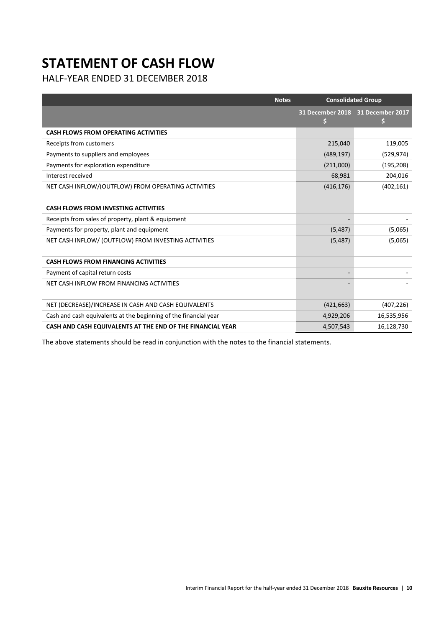# **STATEMENT OF CASH FLOW**

HALF-YEAR ENDED 31 DECEMBER 2018

| <b>Notes</b>                                                     | <b>Consolidated Group</b>               |            |
|------------------------------------------------------------------|-----------------------------------------|------------|
|                                                                  | 31 December 2018 31 December 2017<br>\$ | \$         |
| <b>CASH FLOWS FROM OPERATING ACTIVITIES</b>                      |                                         |            |
| Receipts from customers                                          | 215,040                                 | 119,005    |
| Payments to suppliers and employees                              | (489, 197)                              | (529, 974) |
| Payments for exploration expenditure                             | (211,000)                               | (195, 208) |
| Interest received                                                | 68,981                                  | 204,016    |
| NET CASH INFLOW/(OUTFLOW) FROM OPERATING ACTIVITIES              | (416, 176)                              | (402, 161) |
|                                                                  |                                         |            |
| <b>CASH FLOWS FROM INVESTING ACTIVITIES</b>                      |                                         |            |
| Receipts from sales of property, plant & equipment               |                                         |            |
| Payments for property, plant and equipment                       | (5, 487)                                | (5,065)    |
| NET CASH INFLOW/ (OUTFLOW) FROM INVESTING ACTIVITIES             | (5, 487)                                | (5,065)    |
|                                                                  |                                         |            |
| <b>CASH FLOWS FROM FINANCING ACTIVITIES</b>                      |                                         |            |
| Payment of capital return costs                                  |                                         |            |
| NET CASH INFLOW FROM FINANCING ACTIVITIES                        |                                         |            |
|                                                                  |                                         |            |
| NET (DECREASE)/INCREASE IN CASH AND CASH EQUIVALENTS             | (421, 663)                              | (407, 226) |
| Cash and cash equivalents at the beginning of the financial year | 4,929,206                               | 16,535,956 |
| CASH AND CASH EQUIVALENTS AT THE END OF THE FINANCIAL YEAR       | 4,507,543                               | 16,128,730 |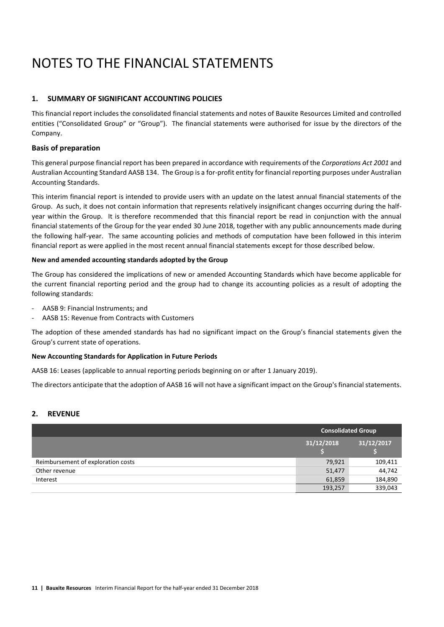# NOTES TO THE FINANCIAL STATEMENTS

# **1. SUMMARY OF SIGNIFICANT ACCOUNTING POLICIES**

This financial report includes the consolidated financial statements and notes of Bauxite Resources Limited and controlled entities ("Consolidated Group" or "Group"). The financial statements were authorised for issue by the directors of the Company.

### **Basis of preparation**

This general purpose financial report has been prepared in accordance with requirements of the *Corporations Act 2001* and Australian Accounting Standard AASB 134. The Group is a for-profit entity for financial reporting purposes under Australian Accounting Standards.

This interim financial report is intended to provide users with an update on the latest annual financial statements of the Group. As such, it does not contain information that represents relatively insignificant changes occurring during the halfyear within the Group. It is therefore recommended that this financial report be read in conjunction with the annual financial statements of the Group for the year ended 30 June 2018, together with any public announcements made during the following half-year. The same accounting policies and methods of computation have been followed in this interim financial report as were applied in the most recent annual financial statements except for those described below.

#### **New and amended accounting standards adopted by the Group**

The Group has considered the implications of new or amended Accounting Standards which have become applicable for the current financial reporting period and the group had to change its accounting policies as a result of adopting the following standards:

- AASB 9: Financial Instruments; and
- AASB 15: Revenue from Contracts with Customers

The adoption of these amended standards has had no significant impact on the Group's financial statements given the Group's current state of operations.

#### **New Accounting Standards for Application in Future Periods**

AASB 16: Leases (applicable to annual reporting periods beginning on or after 1 January 2019).

The directors anticipate that the adoption of AASB 16 will not have a significant impact on the Group's financial statements.

#### **2. REVENUE**

|                                    | <b>Consolidated Group</b> |            |  |
|------------------------------------|---------------------------|------------|--|
|                                    | 31/12/2018                | 31/12/2017 |  |
| Reimbursement of exploration costs | 79,921                    | 109,411    |  |
| Other revenue                      | 51,477                    | 44,742     |  |
| Interest                           | 61,859                    | 184,890    |  |
|                                    | 193,257                   | 339,043    |  |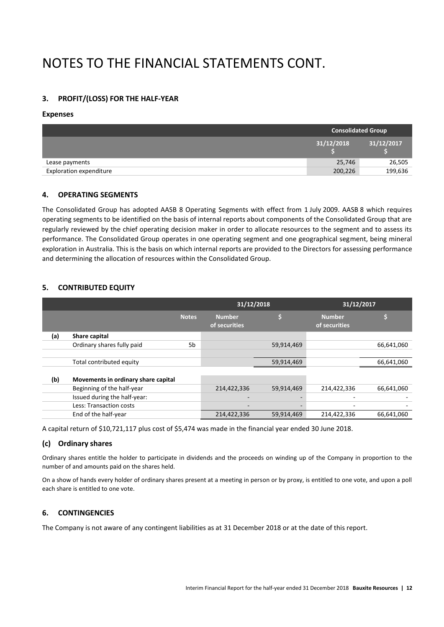# NOTES TO THE FINANCIAL STATEMENTS CONT.

# **3. PROFIT/(LOSS) FOR THE HALF-YEAR**

#### **Expenses**

|                         | <b>Consolidated Group</b> |            |  |
|-------------------------|---------------------------|------------|--|
|                         | 31/12/2018                | 31/12/2017 |  |
| Lease payments          | 25,746                    | 26,505     |  |
| Exploration expenditure | 200,226                   | 199,636    |  |

### **4. OPERATING SEGMENTS**

The Consolidated Group has adopted AASB 8 Operating Segments with effect from 1 July 2009. AASB 8 which requires operating segments to be identified on the basis of internal reports about components of the Consolidated Group that are regularly reviewed by the chief operating decision maker in order to allocate resources to the segment and to assess its performance. The Consolidated Group operates in one operating segment and one geographical segment, being mineral exploration in Australia. This is the basis on which internal reports are provided to the Directors for assessing performance and determining the allocation of resources within the Consolidated Group.

# **5. CONTRIBUTED EQUITY**

|     |                                     |              | 31/12/2018                     |                          | 31/12/2017                     |            |
|-----|-------------------------------------|--------------|--------------------------------|--------------------------|--------------------------------|------------|
|     |                                     | <b>Notes</b> | <b>Number</b><br>of securities |                          | <b>Number</b><br>of securities |            |
| (a) | Share capital                       |              |                                |                          |                                |            |
|     | Ordinary shares fully paid          | 5b           |                                | 59,914,469               |                                | 66,641,060 |
|     |                                     |              |                                |                          |                                |            |
|     | Total contributed equity            |              |                                | 59,914,469               |                                | 66,641,060 |
|     |                                     |              |                                |                          |                                |            |
| (b) | Movements in ordinary share capital |              |                                |                          |                                |            |
|     | Beginning of the half-year          |              | 214,422,336                    | 59,914,469               | 214,422,336                    | 66,641,060 |
|     | Issued during the half-year:        |              |                                | $\overline{\phantom{a}}$ |                                |            |
|     | Less: Transaction costs             |              |                                | $\overline{\phantom{a}}$ | ٠                              |            |
|     | End of the half-year                |              | 214,422,336                    | 59,914,469               | 214,422,336                    | 66,641,060 |

A capital return of \$10,721,117 plus cost of \$5,474 was made in the financial year ended 30 June 2018.

### **(c) Ordinary shares**

Ordinary shares entitle the holder to participate in dividends and the proceeds on winding up of the Company in proportion to the number of and amounts paid on the shares held.

On a show of hands every holder of ordinary shares present at a meeting in person or by proxy, is entitled to one vote, and upon a poll each share is entitled to one vote.

### **6. CONTINGENCIES**

The Company is not aware of any contingent liabilities as at 31 December 2018 or at the date of this report.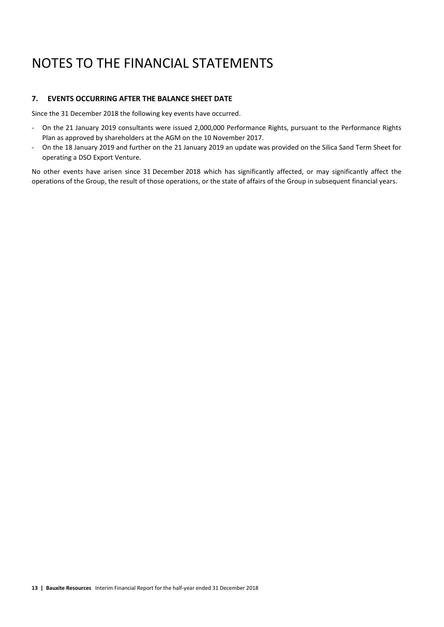# NOTES TO THE FINANCIAL STATEMENTS

### **7. EVENTS OCCURRING AFTER THE BALANCE SHEET DATE**

Since the 31 December 2018 the following key events have occurred.

- On the 21 January 2019 consultants were issued 2,000,000 Performance Rights, pursuant to the Performance Rights Plan as approved by shareholders at the AGM on the 10 November 2017.
- On the 18 January 2019 and further on the 21 January 2019 an update was provided on the Silica Sand Term Sheet for operating a DSO Export Venture.

No other events have arisen since 31 December 2018 which has significantly affected, or may significantly affect the operations of the Group, the result of those operations, or the state of affairs of the Group in subsequent financial years.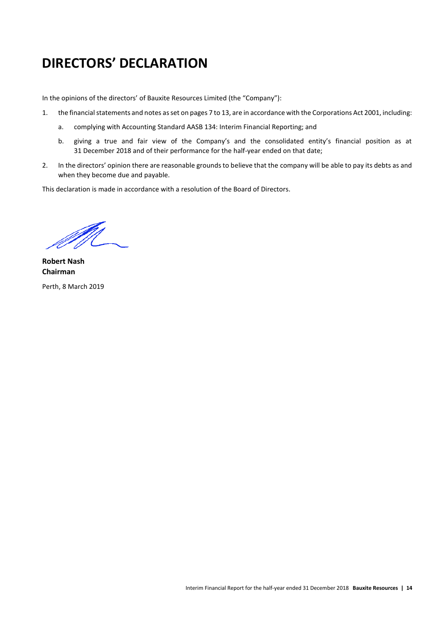# **DIRECTORS' DECLARATION**

In the opinions of the directors' of Bauxite Resources Limited (the "Company"):

- 1. the financial statements and notes as set on pages 7 to 13, are in accordance with the Corporations Act 2001, including:
	- a. complying with Accounting Standard AASB 134: Interim Financial Reporting; and
	- b. giving a true and fair view of the Company's and the consolidated entity's financial position as at 31 December 2018 and of their performance for the half-year ended on that date;
- 2. In the directors' opinion there are reasonable grounds to believe that the company will be able to pay its debts as and when they become due and payable.

This declaration is made in accordance with a resolution of the Board of Directors.

M

**Robert Nash Chairman** Perth, 8 March 2019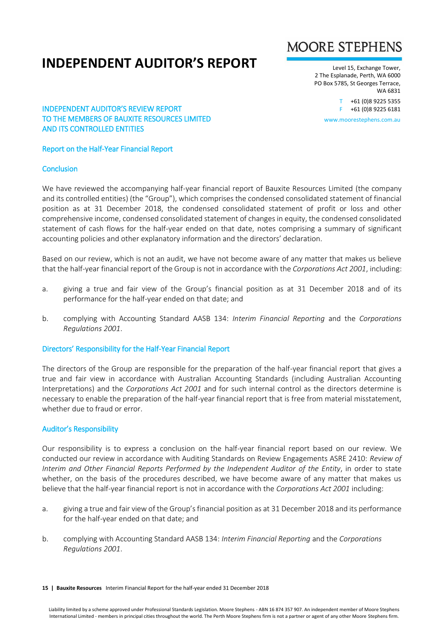# **INDEPENDENT AUDITOR'S REPORT**



Level 15, Exchange Tower, 2 The Esplanade, Perth, WA 6000 PO Box 5785, St Georges Terrace, WA 6831

> T +61 (0)8 9225 5355 F +61 (0)8 9225 6181

www.moorestephens.com.au

### INDEPENDENT AUDITOR'S REVIEW REPORT TO THE MEMBERS OF BAUXITE RESOURCES LIMITED AND ITS CONTROLLED ENTITIES

# Report on the Half-Year Financial Report

# **Conclusion**

We have reviewed the accompanying half-year financial report of Bauxite Resources Limited (the company and its controlled entities) (the "Group"), which comprises the condensed consolidated statement of financial position as at 31 December 2018, the condensed consolidated statement of profit or loss and other comprehensive income, condensed consolidated statement of changes in equity, the condensed consolidated statement of cash flows for the half-year ended on that date, notes comprising a summary of significant accounting policies and other explanatory information and the directors' declaration.

Based on our review, which is not an audit, we have not become aware of any matter that makes us believe that the half-year financial report of the Group is not in accordance with the *Corporations Act 2001*, including:

- a. giving a true and fair view of the Group's financial position as at 31 December 2018 and of its performance for the half-year ended on that date; and
- b. complying with Accounting Standard AASB 134: *Interim Financial Reporting* and the *Corporations Regulations 2001*.

### Directors' Responsibility for the Half-Year Financial Report

The directors of the Group are responsible for the preparation of the half-year financial report that gives a true and fair view in accordance with Australian Accounting Standards (including Australian Accounting Interpretations) and the *Corporations Act 2001* and for such internal control as the directors determine is necessary to enable the preparation of the half-year financial report that is free from material misstatement, whether due to fraud or error.

### Auditor's Responsibility

Our responsibility is to express a conclusion on the half-year financial report based on our review. We conducted our review in accordance with Auditing Standards on Review Engagements ASRE 2410: *Review of Interim and Other Financial Reports Performed by the Independent Auditor of the Entity*, in order to state whether, on the basis of the procedures described, we have become aware of any matter that makes us believe that the half-year financial report is not in accordance with the *Corporations Act 2001* including:

- a. giving a true and fair view of the Group's financial position as at 31 December 2018 and its performance for the half-year ended on that date; and
- b. complying with Accounting Standard AASB 134: *Interim Financial Reporting* and the *Corporations Regulations 2001*.

**15 | Bauxite Resources** Interim Financial Report for the half-year ended 31 December 2018